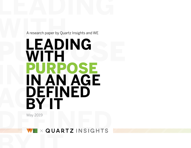

A research paper by Quartz Insights and WE

# A research paper by Quartz In PURPOSE **IN AN IN AN AGE AGE BY IT LEADING WITH**  PURPOSE **DEFINED**

May 2019

## $\times$  QUARTZ INSIGHTS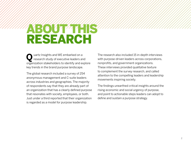# **ABOUT THIS** RESEARCH

Q uartz Insights and WE embarked on a<br>
research study of executive leaders and organization stakeholders to identify and explore key trends in the brand purpose landscape.

The global research included a survey of 254 anonymous management and C-suite leaders across industries and geographies. The majority of respondents say that they are already part of an organization that has a clearly defined purpose that resonates with society, employees, or both. Just under a third reported that their organization is regarded as a model for purpose leadership.

The research also included 15 in-depth interviews with purpose-driven leaders across corporations, nonprofits, and government organizations. These interviews provided qualitative texture to complement the survey research, and called attention to the compelling leaders and leadership movements inspiring society.

The findings unearthed critical insights around the rising economic and social urgency of purpose, and point to actionable steps leaders can adopt to define and sustain a purpose strategy.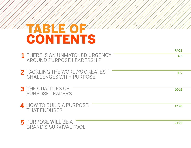# TABLE OF CONTENTS

|                                                                   | <b>PAGE</b> |
|-------------------------------------------------------------------|-------------|
| 1 THERE IS AN UNMATCHED URGENCY<br>AROUND PURPOSE LEADERSHIP      | $4 - 5$     |
| 2 TACKLING THE WORLD'S GREATEST<br><b>CHALLENGES WITH PURPOSE</b> | $6 - 9$     |
| <b>3</b> THE QUALITIES OF<br><b>PURPOSE LEADERS</b>               | $10 - 16$   |
| 4 HOW TO BUILD A PURPOSE<br><b>THAT ENDURES</b>                   | $17 - 20$   |
| <b>5</b> PURPOSE WILL BE A<br><b>BRAND'S SURVIVAL TOOL</b>        | $21 - 22$   |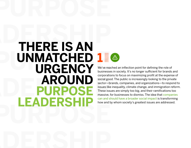# <span id="page-3-0"></span>LEADERS AN **PUNMATCHED 1 MANURGENCY LEADERSHIP SECOND** Sector-brands<br>
ERPOSE SECTION These issues and massive, for but<br>
CADERSHIP CADERSHIP Security and should **PURPOSE THERE IS AN UNMATCHED 1URGENCY AROUND PURPOSE LEADERSHIP**



We've reached an inflection point for defining the role of businesses in society. It's no longer sufficient for brands and corporations to focus on maximizing profit at the expense of social good. The public is increasingly looking to the private sector—brands, companies, and organizations—to respond to issues like inequality, climate change, and immigration reform. These issues are simply too big, and their ramifications too massive, for businesses to dismiss. The idea that [companies](https://we-worldwide-arhxo0vh6d1oh9i0c.stackpathdns.com/media/444253/bim2018-whitepaper-web-final.pdf)  [can and should have a broader social impact](https://we-worldwide-arhxo0vh6d1oh9i0c.stackpathdns.com/media/444253/bim2018-whitepaper-web-final.pdf) is transforming how and by whom society's greatest issues are addressed.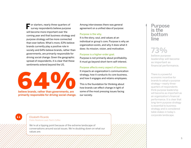**F** or starters, nearly three-quarters of survey respondents believe purpose will become more important over the coming year and that business strategy and purpose strategy will be more connected than ever before. What's more, 63% believe brands currently play a positive role in society and 64% believe brands, rather than governments, are primarily responsible for driving social change. Given the geographic spread of respondents, it is clear that these sentiments extend beyond the US.

believe brands, rather than governments, are

primarily responsible for driving social change.

Among interviewees there was general agreement on a unified idea of purpose:

#### Purpose is the why.

It is the story, soul, and values at an individual or group's core. Purpose is why an organization exists, and why it does what it does: its mission, vision, and motivation.

#### Purpose is a higher-order goal.

Purpose is not primarily about profitability. It must go beyond short-term self-interest.

#### Purpose affects every aspect of business.

It impacts an organization's communication strategy, how it conducts its core business, and how it engages and retains employees.

This is the foundation for thinking about how brands can effect change in light of some of the most pressing issues facing our society.

#### Purpose is the bottom line

## **73%**

believe purpose leadership will become as important as financial performance.

There is a powerful economic incentive for brands to adopt a purpose strategy—nearly threequarters of respondents think purpose leadership will become as important as an organization's financial performance. It is clear that long-term purpose strategy is essential to business strategy and is considered table stakes in today's corporate landscape.



Elizabeth Ricardo Public Relations Lead, Peet's Coffee

We're at a tipping point because of the extreme landscape of conversations around social issues. We're doubling down on what our values are.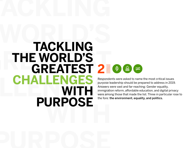# <span id="page-5-0"></span>**TACKLING** THE WORLD'S<br>GREATEST 2 ENGES<br> **CHALLENGES**<br> **CHALLENGES**<br> **CHALLENGES**<br> **CHALLENGES**<br> **CHALLENGES**<br> **CHALLENGES**<br> **CHALLENGES**<br> **CHALLENGES**<br> **CHA** WITH **WITH TACKLING THE WORLD'S CHALLENGES WITH PURPOSE**



Respondents were asked to name the most critical issues purpose leadership should be prepared to address in 2019. Answers were vast and far-reaching: Gender equality, immigration reform, affordable education, and digital privacy were among those that made the list. Three in particular rose to the fore: the environment, equality, and politics.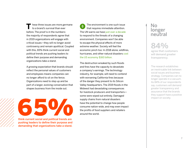hese three issues are more germane to a brand's survival than ever before. The proof is in the numbers: the majority of respondents agree that in 2019 organizations will engage with critical issues—they will no longer avoid controversy and remain apolitical. Coupled with this, 65% think current social and political trends are pushing leaders to define their purpose and demanding organizations take a stand.

A growing expectation that brands should reflect the personal values of customers and employees means companies can no longer afford to sit on the fence. Organizations need to step up and be part of a larger, evolving conversation that shapes business from the inside out.

# think current social and political trends are

pushing leaders to define their purpose and demanding that organizations take a stand.

The environment is one such issue that requires immediate attention. The UN warns we have [just over a decade](https://www.theguardian.com/environment/2018/oct/08/global-warming-must-not-exceed-15c-warns-landmark-un-report) to respond to the threats of a changing environment. Companies won't be able to escape the physical effects of more extreme weather. Society will feel the economic pinch too: In 2018 alone, wildfires, hurricanes, and other natural disasters cost [the US economy \\$160 billion.](https://qz.com/1517738/natural-disasters-caused-160-billion-in-damage-in-2018/)

The destruction wreaked by such floods and fires have the capacity to devastate a company's earnings. The technology industry, for example, will need to contend with worsening California fires because of the danger they present to its Silicon Valley headquarters. The 2019 floods in the Midwest had devastating consequences for livestock producers and transporters some were wiped out entirely. Damaged supply chains from natural disasters have the potential to change how people consume nation-wide, and may even impact the profits of food suppliers and retailers around the world.

#### No longer neutral

## **84%**

agree that customers will demand greater transparency.

The research establishes an inextricable link between social issues and business strategy. Companies can no longer operate in a vacuum. As 84% of our respondents say, customers will demand greater transparency and assurance that the brands they support have a positive impact on society.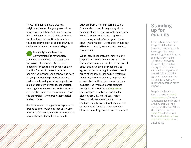These imminent dangers create a heightened sense of urgency around the imperative for action. As threats worsen, it will no longer be permissible for brands to sit on the sidelines. Brands can view this necessary action as an opportunity to define and shape a purpose strategy.

Inequality has entered the  $\overline{\phantom{a}}$ conversation like never before because its definition has taken on new meaning and resonance. No longer is inequality limited to gender, race, or even identity. Rather, it speaks to a broad sociological phenomenon of have and have not, of powerful and powerless. We are, perhaps, witnessing only the beginning of a major paradigm shift that seeks flatter, more egalitarian structures both inside and outside the workplace. There is a push for the proverbial 1% to spread their capital and resources.

It will therefore no longer be acceptable for brands to ignore widening inequality. Line items like CEO compensation and excessive corporate spending will be subject to

criticism from a more discerning public. Brands who appear to be gaining at the expense of society may alienate customers. There is also pressure from employees to act in ways that reflect organizational equality and respect. Companies should pay attention to employees and their needs, or risk attrition.

While there is general agreement among respondents that equality is a core issue, the segment of respondents that care most about this issue are also most likely to agree that purpose might be abandoned in times of economic uncertainty. Matters of inclusivity and diversity may be perceived as so-called "soft" issues—ones that can be neglected when corporate budgets are tight. Yet, a McKinsey [study shows](https://www.mckinsey.com/business-functions/organization/our-insights/delivering-through-diversity) that companies in the top quartile for diversity are 35% more likely to have financial returns above their industry median. Equality is good for business, and companies will need to take a proactive stance in adopting more inclusive practices.

#### Standing up for equality

In 2018, Nike made Colin Kaepernick the face of its new ad campaign with the slogan "Believe in something. Even if it means sacrificing everything." This reference was to Kaepernick's kneeling during the US national anthem before games to protest police brutality against black Americans. This slogan applies to Nike too: it sparked brand boycotts.

Despite the backlash, the ad proved a [shrewd](https://qz.com/1400583/modern-corporate-social-activism-looks-like-nikes-kaepernick-ad/)  [business move.](https://qz.com/1400583/modern-corporate-social-activism-looks-like-nikes-kaepernick-ad/) Younger Americans generally sided with Kaepernick—and nearly two-thirds of Nike's US customer base are [under 35](https://www.nytimes.com/2018/09/04/sports/nike-colin-kaepernick.html). What's more, Nike [received more than](https://www.bloomberg.com/news/articles/2018-09-04/kaepernick-campaign-created-43-million-in-buzz-for-nike-so-far)  [\\$43 million worth of](https://www.bloomberg.com/news/articles/2018-09-04/kaepernick-campaign-created-43-million-in-buzz-for-nike-so-far) free advertising.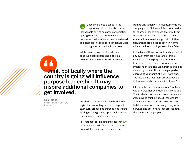Once considered a taboo in the  $\hat{m}$ corporate world, politics is now an inescapable part of business conversation, spilling over from the public sector. A number of business leaders we interviewed said changes in the political landscape were motivating brands to act with purpose.

While brands have traditionally been cautious about expressing a political point of view, the tides of social change

### **I think politically where the** country is going will influence purpose leadership. It may inspire additional companies to get involved. AA<br>"<br>cour"<br>purp

Lisa Parada

Director of Brand Strategy, Prudential

are shifting more rapidly than traditional legislators are willing or able to respond to. In turn, brands and purpose leaders are seizing upon a growing opportunity to lead the charge for unaddressed issues.

For instance, polling data indicate that [61%](https://news.gallup.com/poll/1645/guns.aspx)  [of Americans](https://news.gallup.com/poll/1645/guns.aspx) are in favor of stricter gun laws. While politicians have shied away

from taking action on this issue, brands are stepping up to fill the void. Bank of America, for example, has expressed that it will limit the number of clients on its roster that manufacture assault weapons for civilian use. Brands are poised to set new norms where traditional policymakers have failed.

In the face of these issues, brands shouldn't shy away from taking a stance—this is what leading with purpose is all about. Interviewee Gloria Feldt, Co-founder and President of Take The Lead, framed this idea succinctly, "You will lose some people by expressing your point of view. That's fine. You would have lost them anyway. People follow people who have a point of view."

Like society itself, companies can't outrun extreme weather or a widening income gap. The kind of action needed from companies goes beyond thinking about these issues as business hurdles. Companies will need to take into account humanity's very own survival, and act in ways that protect both the planet and its people.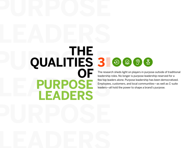# <span id="page-9-0"></span>**LEADERS PUALITIES 3 LEADERS LEADERS THE QUALITIES 3**<br>OF There **PURPOSE**



The research sheds light on players in purpose outside of traditional leadership roles. No longer is purpose leadership reserved for a few top leaders alone. Purpose leadership has been democratized. Employees, customers, and local communities—as well as C-suite leaders—all hold the power to shape a brand's purpose.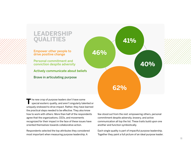

The new crop of purpose leaders don't have some<br>special esoteric quality, and aren't singularly talented or uniquely endowed to drive impact. Rather, they have learned the practical steps needed to be effective. They also know how to work with others: More than half of the respondents agree that the organizations, CEOs, and movements recognized for their impact in the face of these issues have oriented themselves towards collaborative action.

Respondents selected the top attributes they considered most important when measuring purpose leadership. A

few stood out from the rest: empowering others, personal commitment despite adversity, bravery, and active communication all top the list. These traits build upon one another and function symbiotically.

Each single quality is part of impactful purpose leadership. Together they paint a full picture of an ideal purpose leader.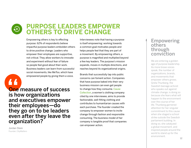

## **PURPOSE LEADERS EMPOWER OTHERS TO DRIVE CHANGE**

Empowering others is key to effecting purpose: 62% of respondents believe impactful purpose leaders embolden others to drive positive change. Leaders who empower their employees are supportive, not critical. They allow workers to innovate and experiment without fear of failure so people feel good about their work. Business leaders can learn from successful social movements, like MeToo, which have empowered people by giving them a voice.

**AA**<br> **One**<br>
is ho<br>
and One measure of success is how organizations and executives empower their employees—do they go on to be leaders even after they leave the organization?

Jordan Stein Founder, CityMatters

Interviewees note that having a purpose is itself empowering: working towards a common goal motivates people and helps people feel that they are part of a movement. By empowering others, a purpose is magnified and multiplied beyond a few key leaders. The purpose's mission expands, moves in multiple directions, and reaches beyond its organizational origins.

Brands that successfully tap into public concerns can foment action. Companies that have purpose baked into their very business mission can even get people to change how they consume. [Cause](https://thecausecollection.com/)  [Collection,](https://thecausecollection.com/) a women's clothing company cited by one interviewee, aims to provide fashionable, well-fitting clothing and contributes to humanitarian causes with each purchase. The founder created the company to empower women to incite change through fashion and responsible consuming. The business model of her company is tangible proof that companies can empower action.

#### Empowering others through conviction

We are entering a golden age of purpose leadership. As more brave voices speak, the number of organizations, brands, and movements that empower others grows. Greta Thunberg, the Swedish teenage activist who speaks out against climate change, is doing so because she fears what will happen to the environment over the course of her life. Thunberg garnered attention for her singular commitment to this cause when she staged a school strike outside the Swedish parliament building. In doing so, she catalyzed a global movement, and inspired people around the world to stand up for the environment.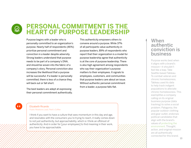#### **PERSONAL COMMITMENT IS THE**   $\bigotimes$ **HEART OF PURPOSE LEADERSHIP**

Purpose begins with a leader who is personally committed to an organization's purpose. Nearly half of respondents (46%) prioritize personal commitment and conviction in a leader despite adversity. Strong leaders understand that purpose needs to be part of a company's DNA, and should be woven into the fabric of a company's story. Personal conviction also increases the likelihood that a purpose will be successful. If a leader is personally committed, there is less of a chance they will back out or fall short.

The best leaders are adept at expressing their personal commitment authentically. This authenticity empowers others to convene around a purpose. While 37% of all participants value authenticity in purpose leaders, 89% of respondents who report that their organization is a model for purpose leadership agree that authenticity is at the core of purpose leadership. There is also high agreement among respondents who say their organization's purpose matters to their employees. It signals to employees, customers, and communities that purpose leaders care about an issue. Without authentic personal commitment from a leader, a purpose falls flat.

#### "

#### Elizabeth Ricardo Public Relations Lead, Peet's Coffee

I think if you want to have a culture that sees momentum in this day and age, and resonates with the consumers you're trying to reach, it really comes down to not just authenticity, but approachability, which is I think an offshoot of authenticity. And in order for [your employees] to find meaning in their work, you have to be approachable.

#### When authentic conviction is business

Purpose works best when it aligns with a brand's mission—it shouldn't feel like a leap. Take Seattle-based Tableau. To combat veteran and chronic homelessness, Tableau used its data to help track indigent populations to alleviate chronic homelessness. This exemplifies a company calling on its original business purpose (data tracking) to solve a social problem. Patagonia, the popular outdoor clothing and gear outlet, endorses political candidates that align with the brand's values of [protecting the](https://qz.com/work/1431940/patagonia-is-endorsing-democrats-jackie-rosen-and-jon-tester-for-senate/)  [environment](https://qz.com/work/1431940/patagonia-is-endorsing-democrats-jackie-rosen-and-jon-tester-for-senate/). Thought, action, and original mission are all authentically connected for this brand.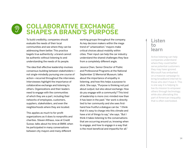#### **COLLABORATIVE EXCHANGE**   $\mathcal{D}$ **SHAPES A BRAND'S PURPOSE**

To build credibility, companies should evaluate the needs of their local communities and see where they can be addressing them better. This practice begets true authenticity: a brand cannot be authentic without listening to and understanding the needs of its people.

The idea that effective leadership involves consensus-building between stakeholders not single-mindedly pursuing one course of action—recurred throughout the interviews. Interviewees highlight the importance of collaborative exchange and listening to others. Organizations and their leaders need to engage with the communities of which they are a part, including their networks of employees, customers, suppliers, stakeholders, and even the neighborhoods where they are located.

This applies as much to for-profit organizations as it does to nonprofits and charities. Steven Althaus, now at Credit Suisse, talks about his time at BMW, when he participated in many conversations between city mayors and many different

working groups throughout the company. As key decision makers within the mega trend of "urbanization," mayors make critical choices about mobility within cities. Their input can help the car industry understand the shared challenges they face from a completely different angle.

Jessica Chen, Senior Director of Public and Professional Programs at the National September 11 Memorial Museum, talks about the importance of empathy in listening, and how this helps a purpose to stick. She says, "Purpose is thinking not just about output, but also about exchange. How do you engage with a community? This kind of leadership is more civic-minded now than it has been in the past." Her work is directly tied to her community and she sees firsthand how fruitful a dialogue can be. "I think that it's easy to charge into this climate and have a lot of things to say," she says. "But I think it takes listening to the conversations that are occurring around us, knowing when to engage, and how to engage in a way that is the most beneficial and impactful for all."

#### Listen to learn

Active listening can help companies understand where they could better serve potential customers they may have ignored. Microsoft has embarked on a massive campaign to bring broadband internet to those who don't have it. This is one way it is helping to live its mission to empower others through technology, while also alleviating this part of American inequality that is often overlooked.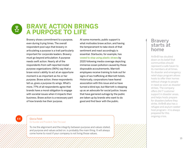

## **BRAVE ACTION BRINGS A PURPOSE TO LIFE**

Bravery shows commitment to a purpose, even during trying times. The overall respondent pool says that bravery in articulating a purpose is a trait particularly important for corporate leaders. Bravery must go beyond articulation: A purpose needs swift action. Nearly all of the respondents from self-reported model purpose organizations (96%) say that a brave voice's ability to act at an opportune moment is as important as his or her purpose. Brave action, these respondents tell us, gives a purpose its wings. What's more, 77% of all respondents agree that brands have a moral obligation to engage with societal issues when it impacts their business. Brave action is a necessary part of how brands live their purpose.

At some moments, public support is what motivates brave action, and having the temperament to take stock of that sentiment and react accordingly is essential. Starbucks, for example, has [vowed to stop using plastic straws](https://www.nytimes.com/2018/07/09/business/starbucks-plastic-straws.html) by 2020 following media coverage depicting immense ocean pollution caused by these disposable accoutrements. Marriott employees receive training to look out for signs of sex trafficking at Marriott hotels. Historically, corporations have feared association with this issue and so have turned a blind eye, but Marriott is stepping up as an advocate for social justice. Issues that have garnered outrage by the public are taken up by brands who want to do good and find favor with the public.

#### **Bravery** starts at home

AirBnB has doubled down on its belief that communities should represent a safe haven to its members at all times. Its disaster and emergency relief stays program allows hosts to offer their homes without charge to people in need as soon as disaster strikes. The company offers 24/7 customer support in disaster areas, and helps hosts prepare for disasters before they strike. AirBnB also has a refugee and asylum seeker host program—it is always prepared for this ongoing crisis.

"

#### Gloria Feldt Co-founder and President, Take The Lead

To me the alignment and the integrity between purpose and values stated, and purpose and values acted on, is probably the main thing. It will always come home to roost if your company is not living those values.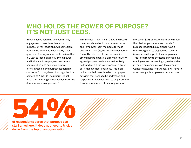## **WHO HOLDS THE POWER OF PURPOSE? IT'S NOT JUST CEOS.**

Beyond active listening and community engagement, there is evidence that purpose-driven leadership will come from outside the executive level. Nearly threequarters of survey respondents believe that, in 2019, purpose leaders will yield power and influence to employees, customers, communities, and societies. Several interviewees believe purpose leadership can come from any level of an organization, something Amanda Steimberg, Global Industry Marketing Leader at EY, called "the democratization of purpose."

This mindset might mean CEOs and board members should relinquish some control and "empower team members to make decisions,'' said CityMatters founder Jordan Stein. This democratic model prevails amongst participants: a slim majority, 54%, agreed purpose leaders are just as likely to be found within the lower ranks of a group as in management positions. This is an indication that there is a rise in employee activism that needs to be addressed and respected. Employees want to be part of the forward momentum of their organization.

Moreover, 82% of respondents who report that their organizations are models for purpose leadership say brands have a moral obligation to engage with societal issues when it impacts their employees. This ties directly to the issue of inequality: employees are demanding a greater stake in their employer's mission. If a company wants to actualize its purpose, it will have to acknowledge its employees' perspectives.

of respondents agree that purpose can start anywhere; it does not need to trickle of respondents agree that purpose can

down from the top of an organization.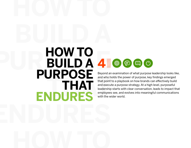# <span id="page-16-0"></span>**BUILD A PULD A 4 ENDURES HOW TO BUILD A 4PURPOSE THAT**



Beyond an examination of what purpose leadership looks like, and who holds the power of purpose, key findings emerged that point to a playbook on how brands can effectively build and execute a purpose strategy. At a high level, purposeful leadership starts with clear conversation, leads to impact that employees see, and evolves into meaningful communications with the wider world.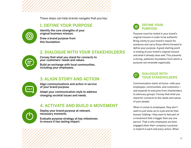These steps can help brands navigate that journey:

#### **1. DEFINE YOUR PURPOSE**



Identify the core strengths of your original business mission.

Draw a brand purpose from this foundation.

#### **2. DIALOGUE WITH YOUR STAKEHOLDERS**



Convey that what you stand for connects to your customers' needs and values.

Build an exchange with local communities, including your employees.

#### **3. ALIGN STORY AND ACTION**

Align communications and action in service of your brand purpose.

Adapt your communication style to address changing societal issues and needs.

#### **4. ACTIVATE AND BUILD A MOVEMENT**



Deploy your brand purpose at relevant, necessary moments.

Evaluate purpose strategy at key milestones to ensure it has lasting impact.



Purpose must be rooted in your brand's original mission in order to be authentic. Bring clarity to your brand's reason for existence and carry those efforts forward to define your purpose. A good starting point is looking at your brand's original mission and what it already does well. This presents a strong, authentic foundation from which a purpose can emanate organically.

#### **DIALOGUE WITH YOUR STAKEHOLDERS**

Communication starts at home—with your employees, communities, and customers and expands to everyone from shareholders to advocacy groups. Convey that what you stand for connects to the needs and values of your people.

When it comes to employees, they don't want to just show up to a job and do their bosses' bidding—they want to feel part of a movement that is bigger than any one person. That is why employees are best engaged when their company's purpose is implicit in each and every action. When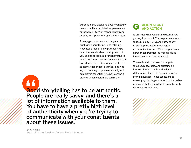purpose is this clear, and does not need to be constantly articulated, employees feel empowered—65% of respondents from employee-dependent organizations agree.

To engage customers and the general public it's about telling—and retelling. Repeated articulation of purpose helps customers understand an alignment of values, and solidifies a brand narrative in which customers can see themselves. This is evident in the 57% of respondents from customer-dependent organizations who say articulating purpose repeatedly and explicitly is essential. It helps to shape a story to which customers can relate.

Good storytelling has to be authentic. People are really savvy, and there's a lot of information available to them. You have to have a pretty high level of authenticity when you're trying to communicate with your constituents about these issues. AA<br>Goo<br>Peol<br>Iot o



It isn't just what you say and do, but how you say it and do it. The respondents report that simplicity (87%) and authenticity (85%) top the list for meaningful communication, and 81% of respondents agree that a fragmented message is as ineffective as no message at all.

When a brand's purpose message is focused, repeatable, and sustainable, it makes it memorable and helps to differentiate it amidst the noise of other brand messages. These tenets shape messaging that is genuine and unshakeable at its core, but still malleable to evolve with changing social issues.

Erica Helms Director of Strategy, Stone Barns Center for Food and Agriculture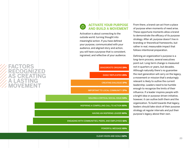#### **FACTORS RECOGNIZED AS CREATING A LASTING MOVEMENT**

#### **ACTIVATE YOUR PURPOSE AND BUILD A MOVEMENT**

Activation is about connecting to the outside world: turning thought into meaningful action. If you have defined your purpose, communicated with your audience, and aligned story and action, you will have a purpose that is consistent, ingrained, and reflective of your audience.



ENGAGING WITH COMMUNITIES, PEERS, AND EMPLOYEES 61%

POWERFUL MESSAGE 65%

CLEAR VISION AND GOALS 82%

From there, a brand can act from a place of purpose when moments of need arise. These opportune moments allow a brand to demonstrate the efficacy of its purpose strategy. After all, purpose doesn't live in branding or theoretical frameworks, but rather in real, measurable impact that follows intentional preparation.

Defining an organization's purpose is a long-term process, several executives point out. Long-term change is measured not in quarters or years, but decades. Although naturally there's no guarantee the next generation will carry on the legacy, a movement or mission that's enduringly relevant is likely to outlive the current leadership. Leaders need to be humble enough to recognize the limits of their influence. If a leader inspires people with a bright idea or purpose-driven initiative, however, it can outlive both them and the organization. To build towards that legacy, leaders should take stock of their purpose strategy at regular intervals and put their purpose's legacy above their own.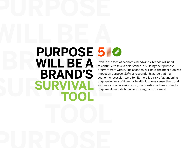## <span id="page-20-0"></span>**WILL BE A BURPUSE 5 SURVIVAL** *Purpose in favo*<br>**SURVIVAL** *Purpose in favo*<br>**Purpose fits int PURPOSE 5WILL BE A BRAND'S SURVIVAL TOOL**



Even in the face of economic headwinds, brands will need to continue to take a bold stance in building their purpose program from within. The economy will have the most outsized impact on purpose: 80% of respondents agree that if an economic recession were to hit, there is a risk of abandoning purpose in favor of financial health. It makes sense, then, that as rumors of a recession swirl, the question of how a brand's purpose fits into its financial strategy is top of mind.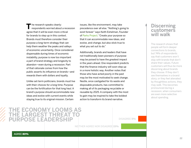TT he research speaks clearly:<br>
respondents worried about a recession agree that it will be even more critical for brands to step up in this context. Brands must therefore consider their purpose a long-term strategy that can help them weather the peaks and valleys of economic uncertainty. Once considered dispensable during times of economic instability, purpose is now too important a part of brand strategy and longevity to abandon—even during a recession. Part of that rationale comes from how the public asserts its influence on brands—and rewards them with dollars and loyalty.

Unlike set-term politicians, brands must live with their choices for a long time. Purpose can be the fortification for that long haul. A brand's purpose should accommodate new ideas and evolve with current events while staying true to its original mission. Certain

issues, like the environment, may take precedence over all else. "Nothing's going to exist forever" says Keith Eshelman, Founder of [Parks Project](https://www.parksproject.us/). "Create your purpose so that it can accommodate new ideas, and evolve, and change, but also stick true to what you set out to do."

Additionally, brands and leaders that have not traditionally been pioneers of purpose may be poised to have the greatest impact in the years ahead. One respondent predicts that the finance industry will soon step up in a more holistic way. Another notes that those who have acted poorly in the past may be the most motivated to seek change. Nestle, once castigated for its waste and disposable products, has committed to making all of its packaging recyclable or reusable by 2025. A company with the most to gain may be inspired to take the boldest action to transform its brand narrative.

#### **Discerning** customers will walk

The research shows that people will form deeper connections to brands, but 74% of respondents say that customers won't stay with brands that don't share their values. Future customers will thus be more discerning about brands they choose. If they don't see themselves in a brand story, or they feel alienated by thoughtless actions, they may walk. This becomes pronounced during a recession, when consumers are even more selective about spending.

#### **THE ECONOMY LOOMS AS RGEST THREAT SE LEADERSHIP**

DISAGREE 5%

NEITHER AGREE NOR DISAGREE 15%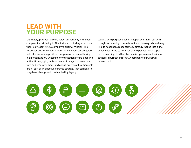## **LEAD WITH YOUR PURPOSE**

Ultimately, purpose is a core value; authenticity is the best compass for retrieving it. The first step in finding a purpose, then, is by examining a company's original mission. The resources and know-how a brand already possess are good indicators of where positive change may have a wellspring in an organization. Shaping communications to be clear and authentic, engaging with audiences in ways that resonate with and empower them, and acting bravely at key moments are all part of an effective purpose strategy that can lead to long-term change and create a lasting legacy.

Leading with purpose doesn't happen overnight, but with thoughtful listening, commitment, and bravery, a brand may find its nascent purpose strategy already tucked into a line of business. If the current social and political landscapes tell us anything, it is that the time is ripe to make business strategy a purpose strategy. A company's survival will depend on it.